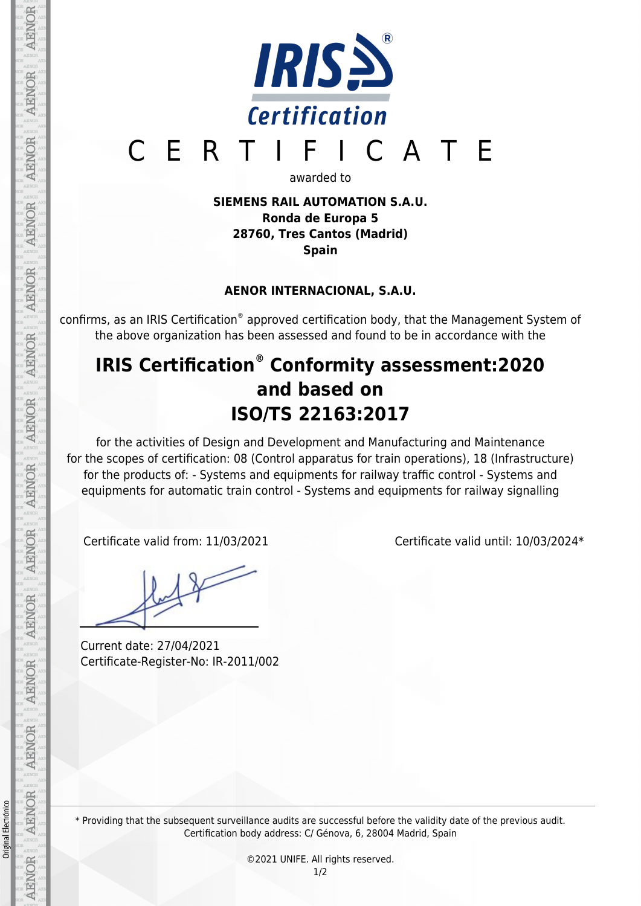

# CERTIFICATE

awarded to

**SIEMENS RAIL AUTOMATION S.A.U. Ronda de Europa 5 28760, Tres Cantos (Madrid) Spain**

### **AENOR INTERNACIONAL, S.A.U.**

confirms, as an IRIS Certification® approved certification body, that the Management System of the above organization has been assessed and found to be in accordance with the

## **IRIS Certification® Conformity assessment:2020 and based on ISO/TS 22163:2017**

for the activities of Design and Development and Manufacturing and Maintenance for the scopes of certification: 08 (Control apparatus for train operations), 18 (Infrastructure) for the products of: - Systems and equipments for railway traffic control - Systems and equipments for automatic train control - Systems and equipments for railway signalling

Current date: 27/04/2021 Certificate-Register-No: IR-2011/002

Certificate valid from: 11/03/2021 Certificate valid until: 10/03/2024\*

Original Electrónico

AENOR

AENOR

**AENOR** 

\* Providing that the subsequent surveillance audits are successful before the validity date of the previous audit. Certification body address: C/ Génova, 6, 28004 Madrid, Spain